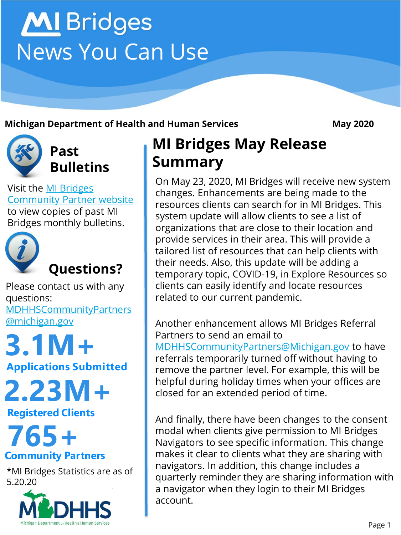# MI Bridges News You Can Use

#### **Michigan Department of Health and Human Services May 2020**



**Past Bulletins**

Visit the MI Bridges [Community Partner website](http://www.michigan.gov/mdhhs/0,5885,7-339-71551_82637---,00.html)  to view copies of past MI Bridges monthly bulletins.



Please contact us with any questions:

[MDHHSCommunityPartners](mailto:MDHHSCommunityPartners@michigan.gov) @michigan.gov

## **Applications Submitted 3.1M+**

**2.23M+**

**Registered Clients**

### **Community Partners 765+**

\*MI Bridges Statistics are as of 5.20.20



### **MI Bridges May Release Summary**

On May 23, 2020, MI Bridges will receive new system changes. Enhancements are being made to the resources clients can search for in MI Bridges. This system update will allow clients to see a list of organizations that are close to their location and provide services in their area. This will provide a tailored list of resources that can help clients with their needs. Also, this update will be adding a temporary topic, COVID-19, in Explore Resources so clients can easily identify and locate resources related to our current pandemic.

Another enhancement allows MI Bridges Referral Partners to send an email to [MDHHSCommunityPartners@Michigan.gov](mailto:MDHHSCommunityPartners@Michigan.gov) to have referrals temporarily turned off without having to remove the partner level. For example, this will be helpful during holiday times when your offices are closed for an extended period of time.

And finally, there have been changes to the consent modal when clients give permission to MI Bridges Navigators to see specific information. This change makes it clear to clients what they are sharing with navigators. In addition, this change includes a quarterly reminder they are sharing information with a navigator when they login to their MI Bridges account.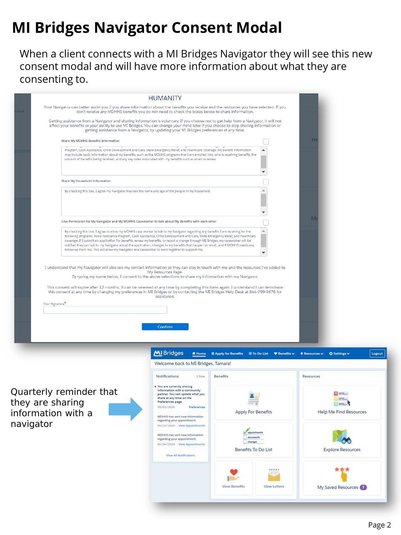### **MI Bridges Navigator Consent Modal**

When a client connects with a MI Bridges Navigator they will see this new consent modal and will have more information about what they are consenting to.

|                                                                                                                                                                                                                                                                                                                                                                                                                                                                                                                                                                                                                                                     |                                                                                                                                                                                                                                                                                                                                                                                 | <b>HUMANITY</b>                                                                                                                                                                                                                                |                                                       |                          |                                                    |                               |
|-----------------------------------------------------------------------------------------------------------------------------------------------------------------------------------------------------------------------------------------------------------------------------------------------------------------------------------------------------------------------------------------------------------------------------------------------------------------------------------------------------------------------------------------------------------------------------------------------------------------------------------------------------|---------------------------------------------------------------------------------------------------------------------------------------------------------------------------------------------------------------------------------------------------------------------------------------------------------------------------------------------------------------------------------|------------------------------------------------------------------------------------------------------------------------------------------------------------------------------------------------------------------------------------------------|-------------------------------------------------------|--------------------------|----------------------------------------------------|-------------------------------|
| ount                                                                                                                                                                                                                                                                                                                                                                                                                                                                                                                                                                                                                                                | Your Navigator can better assist you if you share information about the benefits you receive and the resources you have selected. If you<br>don't receive any MDHHS benefits you do not need to check the boxes below to share information.                                                                                                                                     |                                                                                                                                                                                                                                                |                                                       |                          |                                                    |                               |
|                                                                                                                                                                                                                                                                                                                                                                                                                                                                                                                                                                                                                                                     | Getting assistance from a Navigator and sharing information is voluntary. If you choose not to get help from a Navigator, it will not<br>affect your benefits or your ability to use MI Bridges. You can change your mind later if you choose to stop sharing information or<br>getting assistance from a Navigator, by updating your MI Bridges preferences at any time.       |                                                                                                                                                                                                                                                |                                                       |                          |                                                    |                               |
|                                                                                                                                                                                                                                                                                                                                                                                                                                                                                                                                                                                                                                                     | <b>Share My MDHHS Benefits Information</b>                                                                                                                                                                                                                                                                                                                                      |                                                                                                                                                                                                                                                |                                                       |                          | H                                                  |                               |
|                                                                                                                                                                                                                                                                                                                                                                                                                                                                                                                                                                                                                                                     | Program, Cash Assistance, Child Development and Care, State Emergency Rellef, and healthcare coverage. My benefit Information<br>may Include basic information about my benefits, such as the MDHHS programs that I am enrolled into, who is receiving benefits, the<br>amount of benefits being received, and any key dates associated with my benefits such as when to renew. | $\blacktriangle$                                                                                                                                                                                                                               |                                                       |                          |                                                    |                               |
|                                                                                                                                                                                                                                                                                                                                                                                                                                                                                                                                                                                                                                                     | <b>Share My Household Information</b>                                                                                                                                                                                                                                                                                                                                           |                                                                                                                                                                                                                                                |                                                       |                          |                                                    |                               |
|                                                                                                                                                                                                                                                                                                                                                                                                                                                                                                                                                                                                                                                     | By checking this box, I agree my Navigator may see the name and age of the people in my household.                                                                                                                                                                                                                                                                              |                                                                                                                                                                                                                                                |                                                       |                          |                                                    |                               |
|                                                                                                                                                                                                                                                                                                                                                                                                                                                                                                                                                                                                                                                     |                                                                                                                                                                                                                                                                                                                                                                                 |                                                                                                                                                                                                                                                |                                                       |                          | M                                                  |                               |
|                                                                                                                                                                                                                                                                                                                                                                                                                                                                                                                                                                                                                                                     |                                                                                                                                                                                                                                                                                                                                                                                 | Give Permission for My Navigator and My MDHHS Caseworker to talk about My Benefits with each other                                                                                                                                             |                                                       |                          |                                                    |                               |
| By checking this box, I agree to allow my MDHHS case worker to talk to my Navigator regarding any benefits I am receiving for the<br>following programs: Food Assistance Program, Cash Assistance, Child Development and Care, State Emergency Rellef, and healthcare<br>coverage. If I submit an application for benefits, renew my benefits, or report a change through MI Bridges, my caseworker will be<br>notified they can talk to my Navigator about the application, changes to my benefits that happen as result, and if MDHHS needs any<br>follow-up from me. This will allow my Navigator and caseworker to work together to support me. |                                                                                                                                                                                                                                                                                                                                                                                 |                                                                                                                                                                                                                                                |                                                       | $\overline{\phantom{a}}$ |                                                    |                               |
|                                                                                                                                                                                                                                                                                                                                                                                                                                                                                                                                                                                                                                                     | This consent will expire after 12 months. It can be renewed at any time by completing this form again. I understand I can terminate<br>this consent at any time by changing my preferences in MI Bridges or by contacting the MI Bridges Help Desk at 844-799-9876 for<br>Your Signature <sup>*</sup>                                                                           | assistance.                                                                                                                                                                                                                                    |                                                       |                          |                                                    |                               |
|                                                                                                                                                                                                                                                                                                                                                                                                                                                                                                                                                                                                                                                     |                                                                                                                                                                                                                                                                                                                                                                                 | Confirm                                                                                                                                                                                                                                        |                                                       |                          |                                                    |                               |
|                                                                                                                                                                                                                                                                                                                                                                                                                                                                                                                                                                                                                                                     |                                                                                                                                                                                                                                                                                                                                                                                 | MI Bridges<br># Home                                                                                                                                                                                                                           | 图 Apply for Benefits <b>Ø To Do List ♥ Benefits v</b> |                          | $\star$ Resources $\star$                          | <b>O</b> Settings v<br>Logout |
|                                                                                                                                                                                                                                                                                                                                                                                                                                                                                                                                                                                                                                                     | Welcome back to MI Bridges, Tamara!                                                                                                                                                                                                                                                                                                                                             |                                                                                                                                                                                                                                                |                                                       |                          |                                                    |                               |
|                                                                                                                                                                                                                                                                                                                                                                                                                                                                                                                                                                                                                                                     |                                                                                                                                                                                                                                                                                                                                                                                 | Notifications<br>1 New                                                                                                                                                                                                                         | Benefits                                              |                          | Resources                                          |                               |
| Quarterly reminder that<br>they are sharing<br>information with a<br>navigator                                                                                                                                                                                                                                                                                                                                                                                                                                                                                                                                                                      |                                                                                                                                                                                                                                                                                                                                                                                 | . You are currently sharing<br>information with a community<br>partner. You can update what you<br>share at any time on the<br>Preferences page.<br>05/01/2020<br>Preferences<br>MDHHS has sent new information<br>regarding your appointment. | <b>Apply For Benefits</b>                             |                          | $=$<br>$\Omega =$<br><b>Help Me Find Resources</b> |                               |
|                                                                                                                                                                                                                                                                                                                                                                                                                                                                                                                                                                                                                                                     |                                                                                                                                                                                                                                                                                                                                                                                 | 04/22/2020 View Appointments<br>MDHHS has sent new information<br>regarding your appointment.<br>04/04/2020 View Appointments<br><b>View All Notifications</b>                                                                                 | Benefits To Do List                                   |                          |                                                    | <b>Explore Resources</b>      |

**View Benefits** 

View Letters

My Saved Resources (7)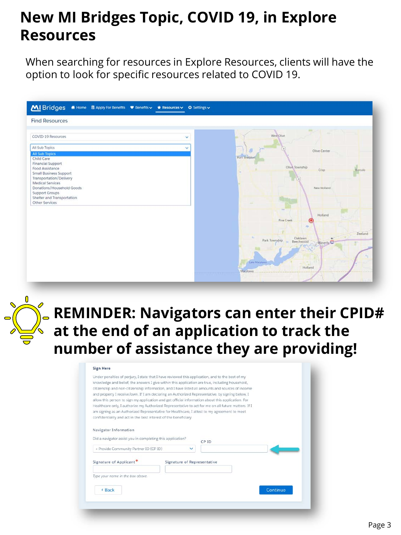### **New MI Bridges Topic, COVID 19, in Explore Resources**

When searching for resources in Explore Resources, clients will have the option to look for specific resources related to COVID 19.





### **REMINDER: Navigators can enter their CPID# at the end of an application to track the number of assistance they are providing!**

#### **Sign Here**

|                                                                  | Under penalties of perjury, I state that I have reviewed this application, and to the best of my    |          |
|------------------------------------------------------------------|-----------------------------------------------------------------------------------------------------|----------|
|                                                                  | knowledge and belief, the answers I give within this application are true, including household,     |          |
|                                                                  | citizenship and non-citizenship information, and I have listed all amounts and sources of income    |          |
|                                                                  | and property I receive/own. If I am declaring an Authorized Representative, by signing below, I     |          |
|                                                                  | allow this person to sign my application and get official information about this application. For   |          |
|                                                                  | Healthcare only, I authorize my Authorized Representative to act for me on all future matters. If I |          |
|                                                                  | am signing as an Authorized Representative for Healthcare. I attest to my agreement to meet         |          |
| confidentiality and act in the best interest of the beneficiary. |                                                                                                     |          |
|                                                                  |                                                                                                     |          |
|                                                                  |                                                                                                     |          |
| Navigator Information                                            |                                                                                                     |          |
| Did a navigator assist you in completing this application?       |                                                                                                     |          |
|                                                                  | CP ID                                                                                               |          |
| + Provide Community Partner ID (CP ID)                           | $\checkmark$                                                                                        |          |
|                                                                  |                                                                                                     |          |
| Signature of Applicant*                                          | Signature of Representative                                                                         |          |
|                                                                  |                                                                                                     |          |
|                                                                  |                                                                                                     |          |
| Type your name in the box above.                                 |                                                                                                     |          |
|                                                                  |                                                                                                     |          |
| « Back                                                           |                                                                                                     | Continue |
|                                                                  |                                                                                                     |          |
|                                                                  |                                                                                                     |          |
|                                                                  |                                                                                                     |          |
|                                                                  |                                                                                                     |          |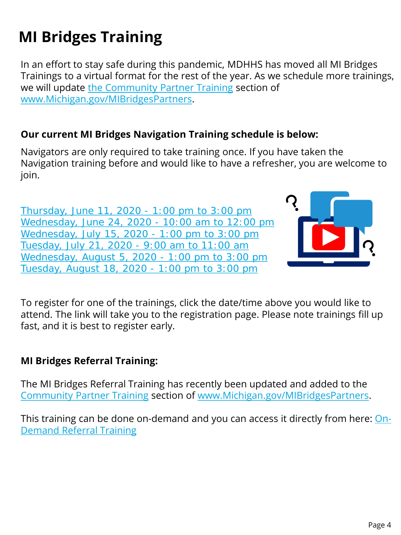### **MI Bridges Training**

In an effort to stay safe during this pandemic, MDHHS has moved all MI Bridges Trainings to a virtual format for the rest of the year. As we schedule more trainings, we will update [the Community Partner Training](https://www.michigan.gov/mdhhs/0,5885,7-339-71551_82637_82640---,00.html) section of [www.Michigan.gov/MIBridgesPartners.](http://www.michigan.gov/MIBridgesPartners)

#### **Our current MI Bridges Navigation Training schedule is below:**

Navigators are only required to take training once. If you have taken the Navigation training before and would like to have a refresher, you are welcome to join.

[Thursday, June 11, 2020 -](https://attendee.gotowebinar.com/register/3821037509271992846) 1:00 pm to 3:00 pm [Wednesday, June 24, 2020 -](https://attendee.gotowebinar.com/register/9128163532756111374) 10:00 am to 12:00 pm [Wednesday, July 15, 2020 -](https://attendee.gotowebinar.com/register/277552326084495119) 1:00 pm to 3:00 pm [Tuesday, July 21, 2020 -](https://attendee.gotowebinar.com/register/5459087733397579279) 9:00 am to 11:00 am [Wednesday, August 5, 2020 -](https://attendee.gotowebinar.com/register/7745064766520665103) 1:00 pm to 3:00 pm [Tuesday, August 18, 2020 -](https://attendee.gotowebinar.com/register/1357612493653678863) 1:00 pm to 3:00 pm



To register for one of the trainings, click the date/time above you would like to attend. The link will take you to the registration page. Please note trainings fill up fast, and it is best to register early.

#### **MI Bridges Referral Training:**

The MI Bridges Referral Training has recently been updated and added to the [Community Partner Training](https://www.michigan.gov/mdhhs/0,5885,7-339-71551_82637_82640---,00.html) section of [www.Michigan.gov/MIBridgesPartners.](http://www.michigan.gov/MIBridgesPartners)

[This training can be done on-demand and you can access it directly from here: On-](https://attendee.gotowebinar.com/recording/1327427601110273037)Demand Referral Training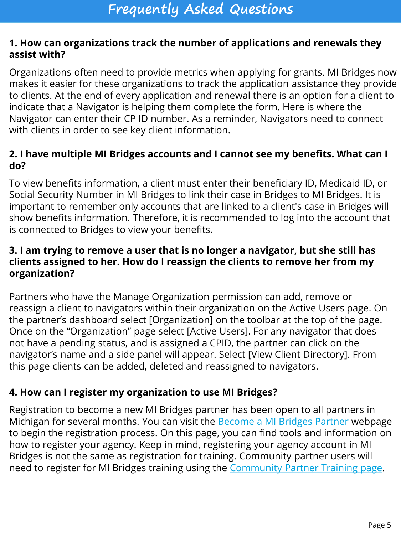#### **1. How can organizations track the number of applications and renewals they assist with?**

Organizations often need to provide metrics when applying for grants. MI Bridges now makes it easier for these organizations to track the application assistance they provide to clients. At the end of every application and renewal there is an option for a client to indicate that a Navigator is helping them complete the form. Here is where the Navigator can enter their CP ID number. As a reminder, Navigators need to connect with clients in order to see key client information.

#### **2. I have multiple MI Bridges accounts and I cannot see my benefits. What can I do?**

To view benefits information, a client must enter their beneficiary ID, Medicaid ID, or Social Security Number in MI Bridges to link their case in Bridges to MI Bridges. It is important to remember only accounts that are linked to a client's case in Bridges will show benefits information. Therefore, it is recommended to log into the account that is connected to Bridges to view your benefits.

#### **3. I am trying to remove a user that is no longer a navigator, but she still has clients assigned to her. How do I reassign the clients to remove her from my organization?**

Partners who have the Manage Organization permission can add, remove or reassign a client to navigators within their organization on the Active Users page. On the partner's dashboard select [Organization] on the toolbar at the top of the page. Once on the "Organization" page select [Active Users]. For any navigator that does not have a pending status, and is assigned a CPID, the partner can click on the navigator's name and a side panel will appear. Select [View Client Directory]. From this page clients can be added, deleted and reassigned to navigators.

#### **4. How can I register my organization to use MI Bridges?**

Registration to become a new MI Bridges partner has been open to all partners in Michigan for several months. You can visit the **Become a MI Bridges Partner** webpage to begin the registration process. On this page, you can find tools and information on how to register your agency. Keep in mind, registering your agency account in MI Bridges is not the same as registration for training. Community partner users will need to register for MI Bridges training using the [Community Partner Training page.](https://www.michigan.gov/mdhhs/0,5885,7-339-71551_82637_82640---,00.html)